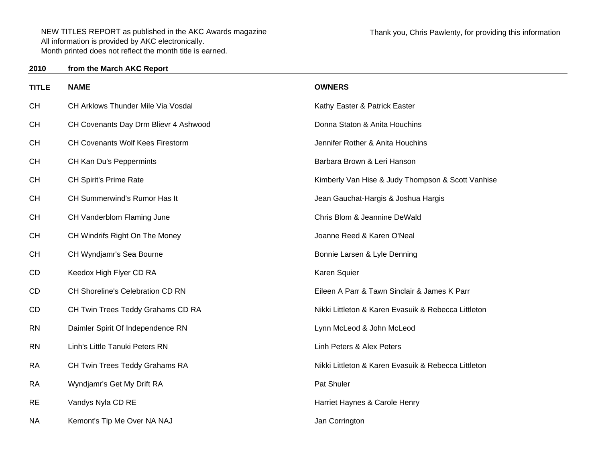**from the March AKC Report**

**2010**

| <b>TITLE</b> | <b>NAME</b>                             | <b>OWNERS</b>                                       |
|--------------|-----------------------------------------|-----------------------------------------------------|
| <b>CH</b>    | CH Arklows Thunder Mile Via Vosdal      | Kathy Easter & Patrick Easter                       |
| <b>CH</b>    | CH Covenants Day Drm Blievr 4 Ashwood   | Donna Staton & Anita Houchins                       |
| <b>CH</b>    | <b>CH Covenants Wolf Kees Firestorm</b> | Jennifer Rother & Anita Houchins                    |
| <b>CH</b>    | CH Kan Du's Peppermints                 | Barbara Brown & Leri Hanson                         |
| <b>CH</b>    | CH Spirit's Prime Rate                  | Kimberly Van Hise & Judy Thompson & Scott Vanhise   |
| <b>CH</b>    | CH Summerwind's Rumor Has It            | Jean Gauchat-Hargis & Joshua Hargis                 |
| <b>CH</b>    | CH Vanderblom Flaming June              | Chris Blom & Jeannine DeWald                        |
| <b>CH</b>    | CH Windrifs Right On The Money          | Joanne Reed & Karen O'Neal                          |
| <b>CH</b>    | CH Wyndjamr's Sea Bourne                | Bonnie Larsen & Lyle Denning                        |
| CD           | Keedox High Flyer CD RA                 | Karen Squier                                        |
| CD           | CH Shoreline's Celebration CD RN        | Eileen A Parr & Tawn Sinclair & James K Parr        |
| CD           | CH Twin Trees Teddy Grahams CD RA       | Nikki Littleton & Karen Evasuik & Rebecca Littleton |
| <b>RN</b>    | Daimler Spirit Of Independence RN       | Lynn McLeod & John McLeod                           |
| <b>RN</b>    | Linh's Little Tanuki Peters RN          | Linh Peters & Alex Peters                           |
| <b>RA</b>    | CH Twin Trees Teddy Grahams RA          | Nikki Littleton & Karen Evasuik & Rebecca Littleton |
| <b>RA</b>    | Wyndjamr's Get My Drift RA              | Pat Shuler                                          |
| <b>RE</b>    | Vandys Nyla CD RE                       | Harriet Haynes & Carole Henry                       |
| <b>NA</b>    | Kemont's Tip Me Over NA NAJ             | Jan Corrington                                      |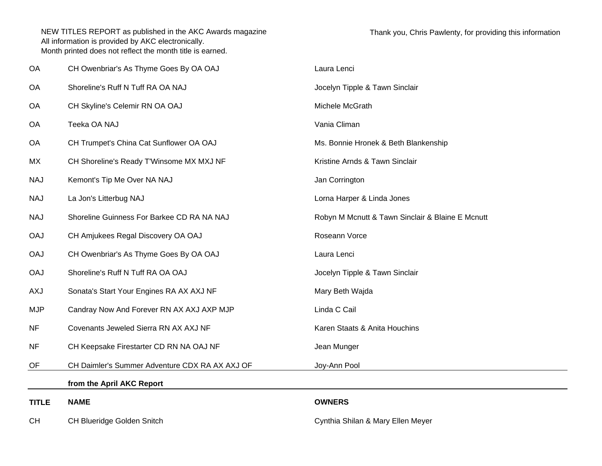| <b>CH</b>    | CH Blueridge Golden Snitch                     | Cynthia Shilan & Mary Ellen Meyer                |
|--------------|------------------------------------------------|--------------------------------------------------|
| <b>TITLE</b> | <b>NAME</b>                                    | <b>OWNERS</b>                                    |
|              | from the April AKC Report                      |                                                  |
| OF           | CH Daimler's Summer Adventure CDX RA AX AXJ OF | Joy-Ann Pool                                     |
| <b>NF</b>    | CH Keepsake Firestarter CD RN NA OAJ NF        | Jean Munger                                      |
| <b>NF</b>    | Covenants Jeweled Sierra RN AX AXJ NF          | Karen Staats & Anita Houchins                    |
| <b>MJP</b>   | Candray Now And Forever RN AX AXJ AXP MJP      | Linda C Cail                                     |
| <b>AXJ</b>   | Sonata's Start Your Engines RA AX AXJ NF       | Mary Beth Wajda                                  |
| <b>OAJ</b>   | Shoreline's Ruff N Tuff RA OA OAJ              | Jocelyn Tipple & Tawn Sinclair                   |
| <b>OAJ</b>   | CH Owenbriar's As Thyme Goes By OA OAJ         | Laura Lenci                                      |
| <b>OAJ</b>   | CH Amjukees Regal Discovery OA OAJ             | Roseann Vorce                                    |
| <b>NAJ</b>   | Shoreline Guinness For Barkee CD RA NA NAJ     | Robyn M Mcnutt & Tawn Sinclair & Blaine E Mcnutt |
| <b>NAJ</b>   | La Jon's Litterbug NAJ                         | Lorna Harper & Linda Jones                       |
| <b>NAJ</b>   | Kemont's Tip Me Over NA NAJ                    | Jan Corrington                                   |
| MX           | CH Shoreline's Ready T'Winsome MX MXJ NF       | Kristine Arnds & Tawn Sinclair                   |
| OA           | CH Trumpet's China Cat Sunflower OA OAJ        | Ms. Bonnie Hronek & Beth Blankenship             |
| OA           | Teeka OA NAJ                                   | Vania Climan                                     |
| OA           | CH Skyline's Celemir RN OA OAJ                 | Michele McGrath                                  |
| <b>OA</b>    | Shoreline's Ruff N Tuff RA OA NAJ              | Jocelyn Tipple & Tawn Sinclair                   |
| OA           | CH Owenbriar's As Thyme Goes By OA OAJ         | Laura Lenci                                      |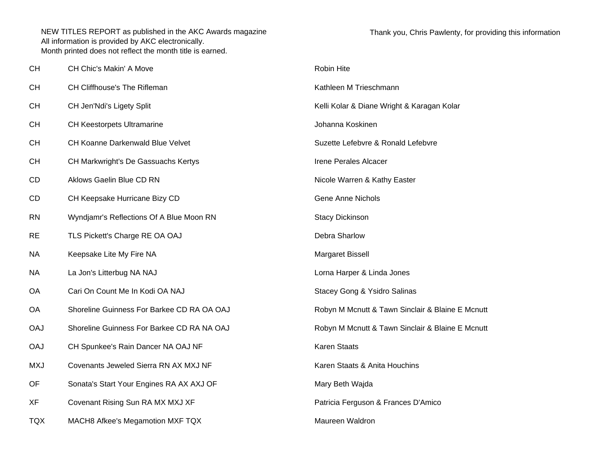| <b>CH</b>  | CH Chic's Makin' A Move                    | Robin Hite                                       |
|------------|--------------------------------------------|--------------------------------------------------|
| CH         | CH Cliffhouse's The Rifleman               | Kathleen M Trieschmann                           |
| СH         | CH Jen'Ndi's Ligety Split                  | Kelli Kolar & Diane Wright & Karagan Kolar       |
| СH         | <b>CH Keestorpets Ultramarine</b>          | Johanna Koskinen                                 |
| <b>CH</b>  | CH Koanne Darkenwald Blue Velvet           | Suzette Lefebvre & Ronald Lefebvre               |
| <b>CH</b>  | CH Markwright's De Gassuachs Kertys        | Irene Perales Alcacer                            |
| CD         | Aklows Gaelin Blue CD RN                   | Nicole Warren & Kathy Easter                     |
| CD         | CH Keepsake Hurricane Bizy CD              | <b>Gene Anne Nichols</b>                         |
| <b>RN</b>  | Wyndjamr's Reflections Of A Blue Moon RN   | <b>Stacy Dickinson</b>                           |
| <b>RE</b>  | TLS Pickett's Charge RE OA OAJ             | Debra Sharlow                                    |
| ΝA         | Keepsake Lite My Fire NA                   | Margaret Bissell                                 |
| ΝA         | La Jon's Litterbug NA NAJ                  | Lorna Harper & Linda Jones                       |
| OA         | Cari On Count Me In Kodi OA NAJ            | Stacey Gong & Ysidro Salinas                     |
| OA         | Shoreline Guinness For Barkee CD RA OA OAJ | Robyn M Mcnutt & Tawn Sinclair & Blaine E Mcnutt |
| <b>OAJ</b> | Shoreline Guinness For Barkee CD RA NA OAJ | Robyn M Mcnutt & Tawn Sinclair & Blaine E Mcnutt |
| <b>OAJ</b> | CH Spunkee's Rain Dancer NA OAJ NF         | <b>Karen Staats</b>                              |
| <b>MXJ</b> | Covenants Jeweled Sierra RN AX MXJ NF      | Karen Staats & Anita Houchins                    |
| OF         | Sonata's Start Your Engines RA AX AXJ OF   | Mary Beth Wajda                                  |
| <b>XF</b>  | Covenant Rising Sun RA MX MXJ XF           | Patricia Ferguson & Frances D'Amico              |
| <b>TQX</b> | MACH8 Afkee's Megamotion MXF TQX           | Maureen Waldron                                  |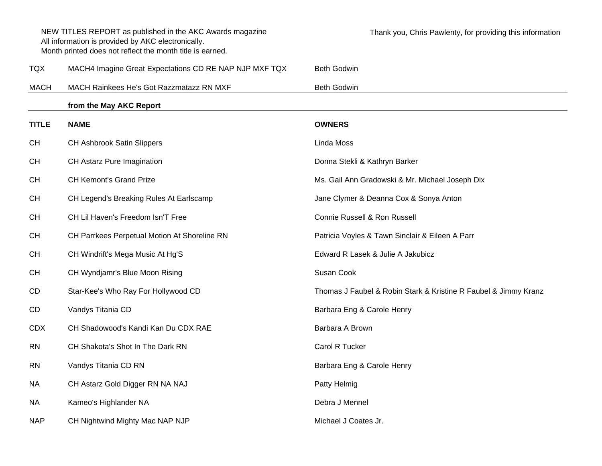|              | NEW TITLES REPORT as published in the AKC Awards magazine<br>All information is provided by AKC electronically.<br>Month printed does not reflect the month title is earned. | Thank you, Chris Pawlenty, for providing this information       |
|--------------|------------------------------------------------------------------------------------------------------------------------------------------------------------------------------|-----------------------------------------------------------------|
| <b>TQX</b>   | MACH4 Imagine Great Expectations CD RE NAP NJP MXF TQX                                                                                                                       | <b>Beth Godwin</b>                                              |
| <b>MACH</b>  | MACH Rainkees He's Got Razzmatazz RN MXF                                                                                                                                     | <b>Beth Godwin</b>                                              |
|              | from the May AKC Report                                                                                                                                                      |                                                                 |
| <b>TITLE</b> | <b>NAME</b>                                                                                                                                                                  | <b>OWNERS</b>                                                   |
| <b>CH</b>    | <b>CH Ashbrook Satin Slippers</b>                                                                                                                                            | Linda Moss                                                      |
| <b>CH</b>    | CH Astarz Pure Imagination                                                                                                                                                   | Donna Stekli & Kathryn Barker                                   |
| <b>CH</b>    | <b>CH Kemont's Grand Prize</b>                                                                                                                                               | Ms. Gail Ann Gradowski & Mr. Michael Joseph Dix                 |
| <b>CH</b>    | CH Legend's Breaking Rules At Earlscamp                                                                                                                                      | Jane Clymer & Deanna Cox & Sonya Anton                          |
| <b>CH</b>    | CH Lil Haven's Freedom Isn'T Free                                                                                                                                            | Connie Russell & Ron Russell                                    |
| <b>CH</b>    | CH Parrkees Perpetual Motion At Shoreline RN                                                                                                                                 | Patricia Voyles & Tawn Sinclair & Eileen A Parr                 |
| <b>CH</b>    | CH Windrift's Mega Music At Hg'S                                                                                                                                             | Edward R Lasek & Julie A Jakubicz                               |
| <b>CH</b>    | CH Wyndjamr's Blue Moon Rising                                                                                                                                               | Susan Cook                                                      |
| <b>CD</b>    | Star-Kee's Who Ray For Hollywood CD                                                                                                                                          | Thomas J Faubel & Robin Stark & Kristine R Faubel & Jimmy Kranz |
| <b>CD</b>    | Vandys Titania CD                                                                                                                                                            | Barbara Eng & Carole Henry                                      |
| <b>CDX</b>   | CH Shadowood's Kandi Kan Du CDX RAE                                                                                                                                          | Barbara A Brown                                                 |
| <b>RN</b>    | CH Shakota's Shot In The Dark RN                                                                                                                                             | Carol R Tucker                                                  |
| <b>RN</b>    | Vandys Titania CD RN                                                                                                                                                         | Barbara Eng & Carole Henry                                      |
| <b>NA</b>    | CH Astarz Gold Digger RN NA NAJ                                                                                                                                              | Patty Helmig                                                    |
| <b>NA</b>    | Kameo's Highlander NA                                                                                                                                                        | Debra J Mennel                                                  |
| <b>NAP</b>   | CH Nightwind Mighty Mac NAP NJP                                                                                                                                              | Michael J Coates Jr.                                            |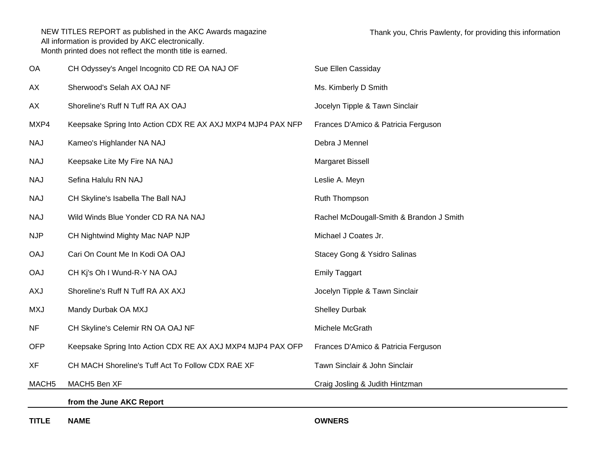| <b>TITLE</b>      | <b>NAME</b>                                                 | <b>OWNERS</b>                            |
|-------------------|-------------------------------------------------------------|------------------------------------------|
|                   | from the June AKC Report                                    |                                          |
| MACH <sub>5</sub> | MACH5 Ben XF                                                | Craig Josling & Judith Hintzman          |
| <b>XF</b>         | CH MACH Shoreline's Tuff Act To Follow CDX RAE XF           | Tawn Sinclair & John Sinclair            |
| <b>OFP</b>        | Keepsake Spring Into Action CDX RE AX AXJ MXP4 MJP4 PAX OFP | Frances D'Amico & Patricia Ferguson      |
| <b>NF</b>         | CH Skyline's Celemir RN OA OAJ NF                           | Michele McGrath                          |
| <b>MXJ</b>        | Mandy Durbak OA MXJ                                         | <b>Shelley Durbak</b>                    |
| <b>AXJ</b>        | Shoreline's Ruff N Tuff RA AX AXJ                           | Jocelyn Tipple & Tawn Sinclair           |
| <b>OAJ</b>        | CH Kj's Oh I Wund-R-Y NA OAJ                                | <b>Emily Taggart</b>                     |
| <b>OAJ</b>        | Cari On Count Me In Kodi OA OAJ                             | Stacey Gong & Ysidro Salinas             |
| <b>NJP</b>        | CH Nightwind Mighty Mac NAP NJP                             | Michael J Coates Jr.                     |
| <b>NAJ</b>        | Wild Winds Blue Yonder CD RA NA NAJ                         | Rachel McDougall-Smith & Brandon J Smith |
| <b>NAJ</b>        | CH Skyline's Isabella The Ball NAJ                          | Ruth Thompson                            |
| <b>NAJ</b>        | Sefina Halulu RN NAJ                                        | Leslie A. Meyn                           |
| <b>NAJ</b>        | Keepsake Lite My Fire NA NAJ                                | Margaret Bissell                         |
| <b>NAJ</b>        | Kameo's Highlander NA NAJ                                   | Debra J Mennel                           |
| MXP4              | Keepsake Spring Into Action CDX RE AX AXJ MXP4 MJP4 PAX NFP | Frances D'Amico & Patricia Ferguson      |
| AX                | Shoreline's Ruff N Tuff RA AX OAJ                           | Jocelyn Tipple & Tawn Sinclair           |
| AX                | Sherwood's Selah AX OAJ NF                                  | Ms. Kimberly D Smith                     |
| OA                | CH Odyssey's Angel Incognito CD RE OA NAJ OF                | Sue Ellen Cassiday                       |

**TITLE**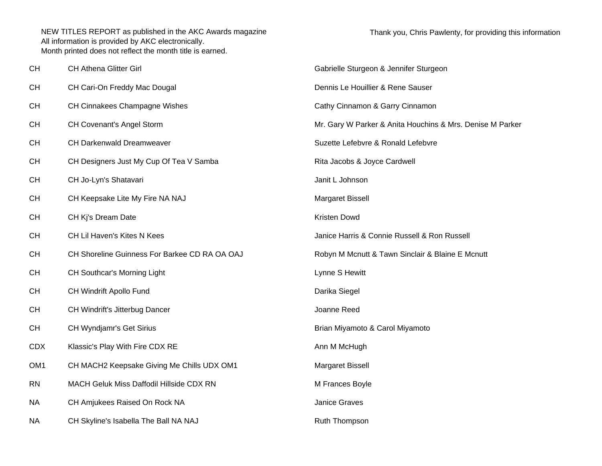| <b>CH</b>       | <b>CH Athena Glitter Girl</b>                 | Gabrielle Sturgeon & Jennifer Sturgeon                    |
|-----------------|-----------------------------------------------|-----------------------------------------------------------|
| <b>CH</b>       | CH Cari-On Freddy Mac Dougal                  | Dennis Le Houillier & Rene Sauser                         |
| <b>CH</b>       | CH Cinnakees Champagne Wishes                 | Cathy Cinnamon & Garry Cinnamon                           |
| <b>CH</b>       | <b>CH Covenant's Angel Storm</b>              | Mr. Gary W Parker & Anita Houchins & Mrs. Denise M Parker |
| <b>CH</b>       | CH Darkenwald Dreamweaver                     | Suzette Lefebvre & Ronald Lefebvre                        |
| <b>CH</b>       | CH Designers Just My Cup Of Tea V Samba       | Rita Jacobs & Joyce Cardwell                              |
| <b>CH</b>       | CH Jo-Lyn's Shatavari                         | Janit L Johnson                                           |
| <b>CH</b>       | CH Keepsake Lite My Fire NA NAJ               | Margaret Bissell                                          |
| <b>CH</b>       | CH Kj's Dream Date                            | Kristen Dowd                                              |
| <b>CH</b>       | CH Lil Haven's Kites N Kees                   | Janice Harris & Connie Russell & Ron Russell              |
| <b>CH</b>       | CH Shoreline Guinness For Barkee CD RA OA OAJ | Robyn M Mcnutt & Tawn Sinclair & Blaine E Mcnutt          |
| <b>CH</b>       | CH Southcar's Morning Light                   | Lynne S Hewitt                                            |
| <b>CH</b>       | CH Windrift Apollo Fund                       | Darika Siegel                                             |
| <b>CH</b>       | CH Windrift's Jitterbug Dancer                | Joanne Reed                                               |
| <b>CH</b>       | CH Wyndjamr's Get Sirius                      | Brian Miyamoto & Carol Miyamoto                           |
| <b>CDX</b>      | Klassic's Play With Fire CDX RE               | Ann M McHugh                                              |
| OM <sub>1</sub> | CH MACH2 Keepsake Giving Me Chills UDX OM1    | Margaret Bissell                                          |
| <b>RN</b>       | MACH Geluk Miss Daffodil Hillside CDX RN      | M Frances Boyle                                           |
| <b>NA</b>       | CH Amjukees Raised On Rock NA                 | Janice Graves                                             |
| <b>NA</b>       | CH Skyline's Isabella The Ball NA NAJ         | Ruth Thompson                                             |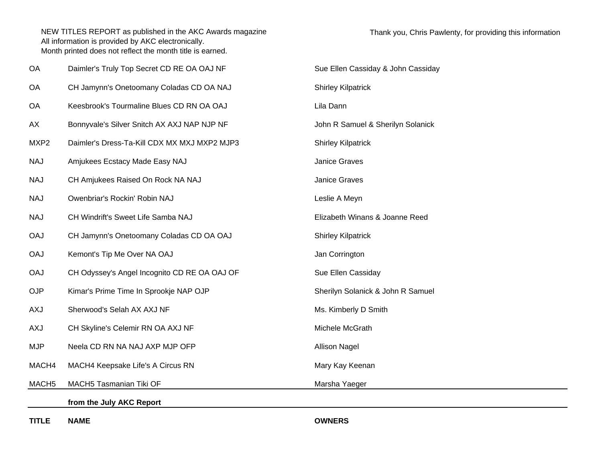| OA                | Daimler's Truly Top Secret CD RE OA OAJ NF   | Sue Ellen Cassiday & John Cassiday |
|-------------------|----------------------------------------------|------------------------------------|
| OA                | CH Jamynn's Onetoomany Coladas CD OA NAJ     | <b>Shirley Kilpatrick</b>          |
| OA                | Keesbrook's Tourmaline Blues CD RN OA OAJ    | Lila Dann                          |
| AX                | Bonnyvale's Silver Snitch AX AXJ NAP NJP NF  | John R Samuel & Sherilyn Solanick  |
| MXP2              | Daimler's Dress-Ta-Kill CDX MX MXJ MXP2 MJP3 | <b>Shirley Kilpatrick</b>          |
| <b>NAJ</b>        | Amjukees Ecstacy Made Easy NAJ               | Janice Graves                      |
| <b>NAJ</b>        | CH Amjukees Raised On Rock NA NAJ            | Janice Graves                      |
| <b>NAJ</b>        | Owenbriar's Rockin' Robin NAJ                | Leslie A Meyn                      |
| <b>NAJ</b>        | CH Windrift's Sweet Life Samba NAJ           | Elizabeth Winans & Joanne Reed     |
| <b>OAJ</b>        | CH Jamynn's Onetoomany Coladas CD OA OAJ     | <b>Shirley Kilpatrick</b>          |
| <b>OAJ</b>        | Kemont's Tip Me Over NA OAJ                  | Jan Corrington                     |
| <b>OAJ</b>        | CH Odyssey's Angel Incognito CD RE OA OAJ OF | Sue Ellen Cassiday                 |
| <b>OJP</b>        | Kimar's Prime Time In Sprookje NAP OJP       | Sherilyn Solanick & John R Samuel  |
| AXJ               | Sherwood's Selah AX AXJ NF                   | Ms. Kimberly D Smith               |
| <b>AXJ</b>        | CH Skyline's Celemir RN OA AXJ NF            | Michele McGrath                    |
| <b>MJP</b>        | Neela CD RN NA NAJ AXP MJP OFP               | <b>Allison Nagel</b>               |
| MACH4             | MACH4 Keepsake Life's A Circus RN            | Mary Kay Keenan                    |
| MACH <sub>5</sub> | MACH5 Tasmanian Tiki OF                      | Marsha Yaeger                      |
|                   | from the July AKC Report                     |                                    |
|                   |                                              |                                    |

**TITLE**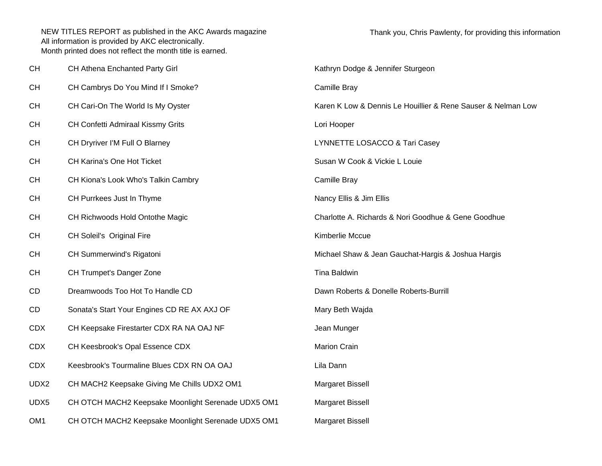| CH              | CH Athena Enchanted Party Girl                     | Kathryn Dodge & Jennifer Sturgeon                            |
|-----------------|----------------------------------------------------|--------------------------------------------------------------|
| <b>CH</b>       | CH Cambrys Do You Mind If I Smoke?                 | Camille Bray                                                 |
| <b>CH</b>       | CH Cari-On The World Is My Oyster                  | Karen K Low & Dennis Le Houillier & Rene Sauser & Nelman Low |
| <b>CH</b>       | CH Confetti Admiraal Kissmy Grits                  | Lori Hooper                                                  |
| <b>CH</b>       | CH Dryriver I'M Full O Blarney                     | LYNNETTE LOSACCO & Tari Casey                                |
| <b>CH</b>       | CH Karina's One Hot Ticket                         | Susan W Cook & Vickie L Louie                                |
| <b>CH</b>       | CH Kiona's Look Who's Talkin Cambry                | Camille Bray                                                 |
| <b>CH</b>       | CH Purrkees Just In Thyme                          | Nancy Ellis & Jim Ellis                                      |
| <b>CH</b>       | CH Richwoods Hold Ontothe Magic                    | Charlotte A. Richards & Nori Goodhue & Gene Goodhue          |
| <b>CH</b>       | CH Soleil's Original Fire                          | Kimberlie Mccue                                              |
| <b>CH</b>       | CH Summerwind's Rigatoni                           | Michael Shaw & Jean Gauchat-Hargis & Joshua Hargis           |
| <b>CH</b>       | CH Trumpet's Danger Zone                           | Tina Baldwin                                                 |
| CD              | Dreamwoods Too Hot To Handle CD                    | Dawn Roberts & Donelle Roberts-Burrill                       |
| CD              | Sonata's Start Your Engines CD RE AX AXJ OF        | Mary Beth Wajda                                              |
| <b>CDX</b>      | CH Keepsake Firestarter CDX RA NA OAJ NF           | Jean Munger                                                  |
| <b>CDX</b>      | CH Keesbrook's Opal Essence CDX                    | <b>Marion Crain</b>                                          |
| <b>CDX</b>      | Keesbrook's Tourmaline Blues CDX RN OA OAJ         | Lila Dann                                                    |
| UDX2            | CH MACH2 Keepsake Giving Me Chills UDX2 OM1        | Margaret Bissell                                             |
| UDX5            | CH OTCH MACH2 Keepsake Moonlight Serenade UDX5 OM1 | Margaret Bissell                                             |
| OM <sub>1</sub> | CH OTCH MACH2 Keepsake Moonlight Serenade UDX5 OM1 | <b>Margaret Bissell</b>                                      |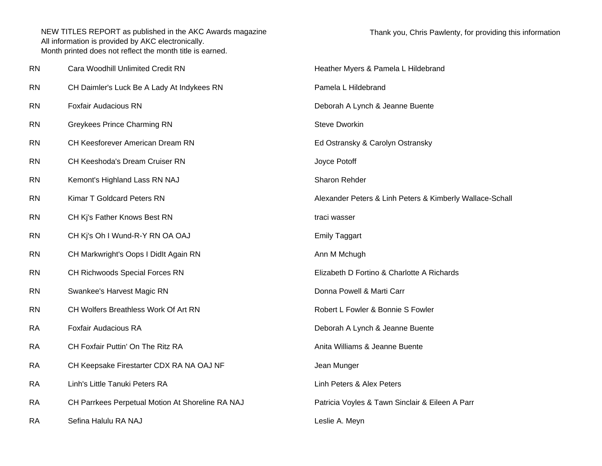| <b>RN</b> | Cara Woodhill Unlimited Credit RN                | Heather Myers & Pamela L Hildebrand                      |
|-----------|--------------------------------------------------|----------------------------------------------------------|
| <b>RN</b> | CH Daimler's Luck Be A Lady At Indykees RN       | Pamela L Hildebrand                                      |
| <b>RN</b> | <b>Foxfair Audacious RN</b>                      | Deborah A Lynch & Jeanne Buente                          |
| <b>RN</b> | <b>Greykees Prince Charming RN</b>               | <b>Steve Dworkin</b>                                     |
| <b>RN</b> | CH Keesforever American Dream RN                 | Ed Ostransky & Carolyn Ostransky                         |
| <b>RN</b> | CH Keeshoda's Dream Cruiser RN                   | Joyce Potoff                                             |
| <b>RN</b> | Kemont's Highland Lass RN NAJ                    | Sharon Rehder                                            |
| <b>RN</b> | Kimar T Goldcard Peters RN                       | Alexander Peters & Linh Peters & Kimberly Wallace-Schall |
| <b>RN</b> | CH Kj's Father Knows Best RN                     | traci wasser                                             |
| <b>RN</b> | CH Kj's Oh I Wund-R-Y RN OA OAJ                  | <b>Emily Taggart</b>                                     |
| <b>RN</b> | CH Markwright's Oops I Didlt Again RN            | Ann M Mchugh                                             |
| <b>RN</b> | CH Richwoods Special Forces RN                   | Elizabeth D Fortino & Charlotte A Richards               |
| <b>RN</b> | Swankee's Harvest Magic RN                       | Donna Powell & Marti Carr                                |
| <b>RN</b> | CH Wolfers Breathless Work Of Art RN             | Robert L Fowler & Bonnie S Fowler                        |
| <b>RA</b> | <b>Foxfair Audacious RA</b>                      | Deborah A Lynch & Jeanne Buente                          |
| <b>RA</b> | CH Foxfair Puttin' On The Ritz RA                | Anita Williams & Jeanne Buente                           |
| <b>RA</b> | CH Keepsake Firestarter CDX RA NA OAJ NF         | Jean Munger                                              |
| <b>RA</b> | Linh's Little Tanuki Peters RA                   | Linh Peters & Alex Peters                                |
| <b>RA</b> | CH Parrkees Perpetual Motion At Shoreline RA NAJ | Patricia Voyles & Tawn Sinclair & Eileen A Parr          |
| <b>RA</b> | Sefina Halulu RA NAJ                             | Leslie A. Meyn                                           |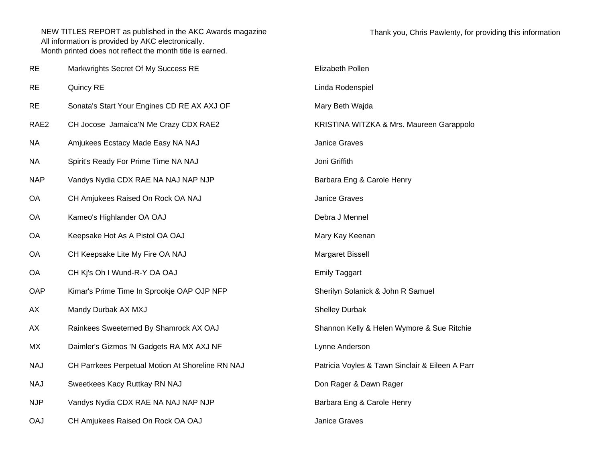| <b>RE</b>        | Markwrights Secret Of My Success RE              | Elizabeth Pollen                                |
|------------------|--------------------------------------------------|-------------------------------------------------|
| <b>RE</b>        | Quincy RE                                        | Linda Rodenspiel                                |
| <b>RE</b>        | Sonata's Start Your Engines CD RE AX AXJ OF      | Mary Beth Wajda                                 |
| RAE <sub>2</sub> | CH Jocose Jamaica'N Me Crazy CDX RAE2            | KRISTINA WITZKA & Mrs. Maureen Garappolo        |
| <b>NA</b>        | Amjukees Ecstacy Made Easy NA NAJ                | Janice Graves                                   |
| <b>NA</b>        | Spirit's Ready For Prime Time NA NAJ             | Joni Griffith                                   |
| <b>NAP</b>       | Vandys Nydia CDX RAE NA NAJ NAP NJP              | Barbara Eng & Carole Henry                      |
| <b>OA</b>        | CH Amjukees Raised On Rock OA NAJ                | Janice Graves                                   |
| OA               | Kameo's Highlander OA OAJ                        | Debra J Mennel                                  |
| OA               | Keepsake Hot As A Pistol OA OAJ                  | Mary Kay Keenan                                 |
| <b>OA</b>        | CH Keepsake Lite My Fire OA NAJ                  | Margaret Bissell                                |
| OA               | CH Kj's Oh I Wund-R-Y OA OAJ                     | <b>Emily Taggart</b>                            |
| OAP              | Kimar's Prime Time In Sprookje OAP OJP NFP       | Sherilyn Solanick & John R Samuel               |
| AX               | Mandy Durbak AX MXJ                              | <b>Shelley Durbak</b>                           |
| AX               | Rainkees Sweeterned By Shamrock AX OAJ           | Shannon Kelly & Helen Wymore & Sue Ritchie      |
| MX               | Daimler's Gizmos 'N Gadgets RA MX AXJ NF         | Lynne Anderson                                  |
| <b>NAJ</b>       | CH Parrkees Perpetual Motion At Shoreline RN NAJ | Patricia Voyles & Tawn Sinclair & Eileen A Parr |
| <b>NAJ</b>       | Sweetkees Kacy Ruttkay RN NAJ                    | Don Rager & Dawn Rager                          |
| <b>NJP</b>       | Vandys Nydia CDX RAE NA NAJ NAP NJP              | Barbara Eng & Carole Henry                      |
| <b>OAJ</b>       | CH Amjukees Raised On Rock OA OAJ                | <b>Janice Graves</b>                            |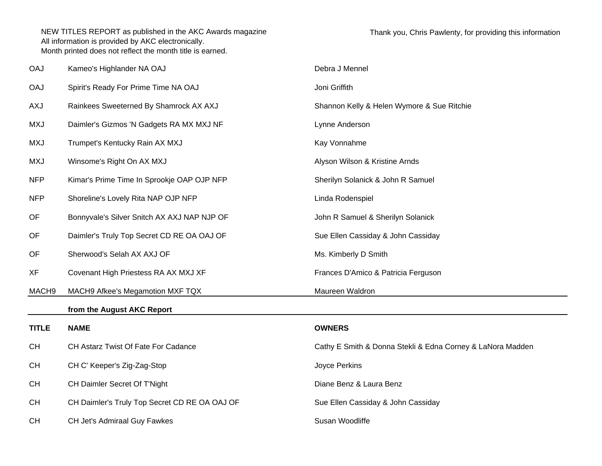| <b>OAJ</b>   | Kameo's Highlander NA OAJ                     | Debra J Mennel                                             |
|--------------|-----------------------------------------------|------------------------------------------------------------|
| <b>OAJ</b>   | Spirit's Ready For Prime Time NA OAJ          | Joni Griffith                                              |
| AXJ          | Rainkees Sweeterned By Shamrock AX AXJ        | Shannon Kelly & Helen Wymore & Sue Ritchie                 |
| <b>MXJ</b>   | Daimler's Gizmos 'N Gadgets RA MX MXJ NF      | Lynne Anderson                                             |
| <b>MXJ</b>   | Trumpet's Kentucky Rain AX MXJ                | Kay Vonnahme                                               |
| <b>MXJ</b>   | Winsome's Right On AX MXJ                     | Alyson Wilson & Kristine Arnds                             |
| <b>NFP</b>   | Kimar's Prime Time In Sprookje OAP OJP NFP    | Sherilyn Solanick & John R Samuel                          |
| <b>NFP</b>   | Shoreline's Lovely Rita NAP OJP NFP           | Linda Rodenspiel                                           |
| OF           | Bonnyvale's Silver Snitch AX AXJ NAP NJP OF   | John R Samuel & Sherilyn Solanick                          |
| OF           | Daimler's Truly Top Secret CD RE OA OAJ OF    | Sue Ellen Cassiday & John Cassiday                         |
| OF           | Sherwood's Selah AX AXJ OF                    | Ms. Kimberly D Smith                                       |
| XF           | Covenant High Priestess RA AX MXJ XF          | Frances D'Amico & Patricia Ferguson                        |
| MACH9        | MACH9 Afkee's Megamotion MXF TQX              | Maureen Waldron                                            |
|              | from the August AKC Report                    |                                                            |
| <b>TITLE</b> | <b>NAME</b>                                   | <b>OWNERS</b>                                              |
| <b>CH</b>    | CH Astarz Twist Of Fate For Cadance           | Cathy E Smith & Donna Stekli & Edna Corney & LaNora Madden |
| <b>CH</b>    | CH C' Keeper's Zig-Zag-Stop                   | Joyce Perkins                                              |
| <b>CH</b>    | CH Daimler Secret Of T'Night                  | Diane Benz & Laura Benz                                    |
| <b>CH</b>    | CH Daimler's Truly Top Secret CD RE OA OAJ OF | Sue Ellen Cassiday & John Cassiday                         |
| <b>CH</b>    | <b>CH Jet's Admiraal Guy Fawkes</b>           | Susan Woodliffe                                            |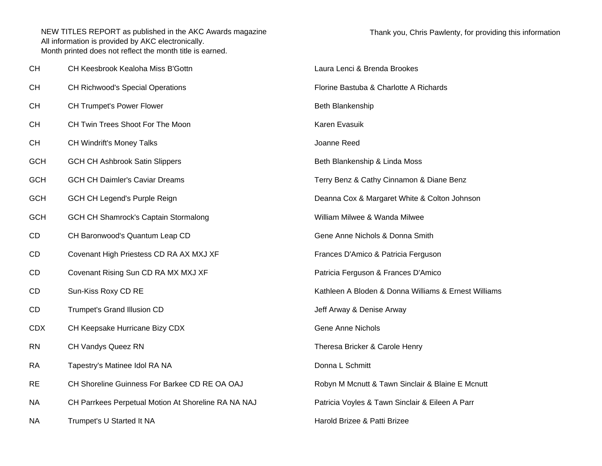| CН        | CH Keesbrook Kealoha Miss B'Gottn                   | Laura Lenci & Brenda Brookes                         |
|-----------|-----------------------------------------------------|------------------------------------------------------|
| СН        | <b>CH Richwood's Special Operations</b>             | Florine Bastuba & Charlotte A Richards               |
| CН        | <b>CH Trumpet's Power Flower</b>                    | Beth Blankenship                                     |
| CН        | CH Twin Trees Shoot For The Moon                    | Karen Evasuik                                        |
| CН        | CH Windrift's Money Talks                           | Joanne Reed                                          |
| GCH       | <b>GCH CH Ashbrook Satin Slippers</b>               | Beth Blankenship & Linda Moss                        |
| GCH       | <b>GCH CH Daimler's Caviar Dreams</b>               | Terry Benz & Cathy Cinnamon & Diane Benz             |
| GCH       | GCH CH Legend's Purple Reign                        | Deanna Cox & Margaret White & Colton Johnson         |
| GCH       | <b>GCH CH Shamrock's Captain Stormalong</b>         | William Milwee & Wanda Milwee                        |
| CD        | CH Baronwood's Quantum Leap CD                      | Gene Anne Nichols & Donna Smith                      |
| CD        | Covenant High Priestess CD RA AX MXJ XF             | Frances D'Amico & Patricia Ferguson                  |
| CD        | Covenant Rising Sun CD RA MX MXJ XF                 | Patricia Ferguson & Frances D'Amico                  |
| СD        | Sun-Kiss Roxy CD RE                                 | Kathleen A Bloden & Donna Williams & Ernest Williams |
| СD        | Trumpet's Grand Illusion CD                         | Jeff Arway & Denise Arway                            |
| CDX       | CH Keepsake Hurricane Bizy CDX                      | <b>Gene Anne Nichols</b>                             |
| RN        | <b>CH Vandys Queez RN</b>                           | Theresa Bricker & Carole Henry                       |
| RA        | Tapestry's Matinee Idol RA NA                       | Donna L Schmitt                                      |
| <b>RE</b> | CH Shoreline Guinness For Barkee CD RE OA OAJ       | Robyn M Mcnutt & Tawn Sinclair & Blaine E Mcnutt     |
| NΑ        | CH Parrkees Perpetual Motion At Shoreline RA NA NAJ | Patricia Voyles & Tawn Sinclair & Eileen A Parr      |
| NΑ        | Trumpet's U Started It NA                           | Harold Brizee & Patti Brizee                         |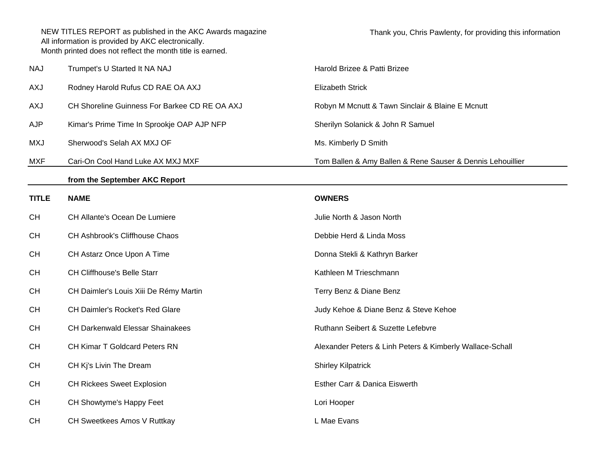| <b>NAJ</b> | Trumpet's U Started It NA NAJ                 | Harold Brizee & Patti Brizee                               |
|------------|-----------------------------------------------|------------------------------------------------------------|
| AXJ        | Rodney Harold Rufus CD RAE OA AXJ             | Elizabeth Strick                                           |
| AXJ        | CH Shoreline Guinness For Barkee CD RE OA AXJ | Robyn M Mcnutt & Tawn Sinclair & Blaine E Mcnutt           |
| AJP        | Kimar's Prime Time In Sprookje OAP AJP NFP    | Sherilyn Solanick & John R Samuel                          |
| MXJ        | Sherwood's Selah AX MXJ OF                    | Ms. Kimberly D Smith                                       |
| MXF        | Cari-On Cool Hand Luke AX MXJ MXF             | Tom Ballen & Amy Ballen & Rene Sauser & Dennis Lehouillier |
|            |                                               |                                                            |

## **from the September AKC Report**

| <b>TITLE</b> | <b>NAME</b>                             | <b>OWNERS</b>                                            |
|--------------|-----------------------------------------|----------------------------------------------------------|
| CH           | CH Allante's Ocean De Lumiere           | Julie North & Jason North                                |
| <b>CH</b>    | <b>CH Ashbrook's Cliffhouse Chaos</b>   | Debbie Herd & Linda Moss                                 |
| <b>CH</b>    | CH Astarz Once Upon A Time              | Donna Stekli & Kathryn Barker                            |
| <b>CH</b>    | <b>CH Cliffhouse's Belle Starr</b>      | Kathleen M Trieschmann                                   |
| <b>CH</b>    | CH Daimler's Louis Xiii De Rémy Martin  | Terry Benz & Diane Benz                                  |
| <b>CH</b>    | <b>CH Daimler's Rocket's Red Glare</b>  | Judy Kehoe & Diane Benz & Steve Kehoe                    |
| <b>CH</b>    | <b>CH Darkenwald Elessar Shainakees</b> | Ruthann Seibert & Suzette Lefebvre                       |
| <b>CH</b>    | <b>CH Kimar T Goldcard Peters RN</b>    | Alexander Peters & Linh Peters & Kimberly Wallace-Schall |
| <b>CH</b>    | CH Kj's Livin The Dream                 | <b>Shirley Kilpatrick</b>                                |
| <b>CH</b>    | <b>CH Rickees Sweet Explosion</b>       | Esther Carr & Danica Eiswerth                            |
| <b>CH</b>    | CH Showtyme's Happy Feet                | Lori Hooper                                              |
| <b>CH</b>    | CH Sweetkees Amos V Ruttkay             | L Mae Evans                                              |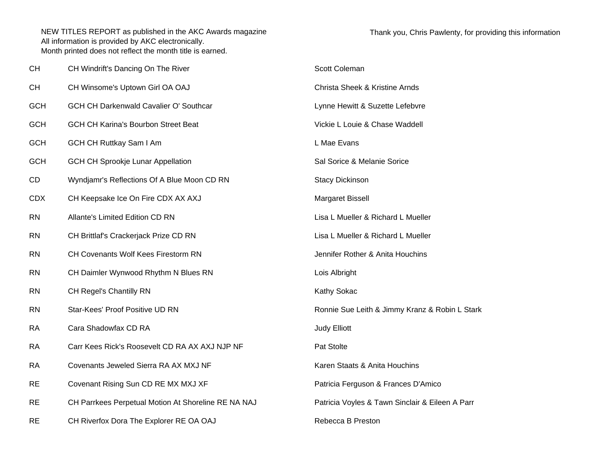| <b>CH</b>  | CH Windrift's Dancing On The River                  | Scott Coleman                                   |
|------------|-----------------------------------------------------|-------------------------------------------------|
| <b>CH</b>  | CH Winsome's Uptown Girl OA OAJ                     | <b>Christa Sheek &amp; Kristine Arnds</b>       |
| <b>GCH</b> | GCH CH Darkenwald Cavalier O' Southcar              | Lynne Hewitt & Suzette Lefebvre                 |
| <b>GCH</b> | <b>GCH CH Karina's Bourbon Street Beat</b>          | Vickie L Louie & Chase Waddell                  |
| <b>GCH</b> | <b>GCH CH Ruttkay Sam I Am</b>                      | L Mae Evans                                     |
| <b>GCH</b> | <b>GCH CH Sprookje Lunar Appellation</b>            | Sal Sorice & Melanie Sorice                     |
| CD         | Wyndjamr's Reflections Of A Blue Moon CD RN         | <b>Stacy Dickinson</b>                          |
| <b>CDX</b> | CH Keepsake Ice On Fire CDX AX AXJ                  | Margaret Bissell                                |
| <b>RN</b>  | Allante's Limited Edition CD RN                     | Lisa L Mueller & Richard L Mueller              |
| <b>RN</b>  | CH Brittlaf's Crackerjack Prize CD RN               | Lisa L Mueller & Richard L Mueller              |
| <b>RN</b>  | CH Covenants Wolf Kees Firestorm RN                 | Jennifer Rother & Anita Houchins                |
| <b>RN</b>  | CH Daimler Wynwood Rhythm N Blues RN                | Lois Albright                                   |
| <b>RN</b>  | CH Regel's Chantilly RN                             | Kathy Sokac                                     |
| <b>RN</b>  | Star-Kees' Proof Positive UD RN                     | Ronnie Sue Leith & Jimmy Kranz & Robin L Stark  |
| <b>RA</b>  | Cara Shadowfax CD RA                                | <b>Judy Elliott</b>                             |
| <b>RA</b>  | Carr Kees Rick's Roosevelt CD RA AX AXJ NJP NF      | Pat Stolte                                      |
| <b>RA</b>  | Covenants Jeweled Sierra RA AX MXJ NF               | Karen Staats & Anita Houchins                   |
| <b>RE</b>  | Covenant Rising Sun CD RE MX MXJ XF                 | Patricia Ferguson & Frances D'Amico             |
| <b>RE</b>  | CH Parrkees Perpetual Motion At Shoreline RE NA NAJ | Patricia Voyles & Tawn Sinclair & Eileen A Parr |
| <b>RE</b>  | CH Riverfox Dora The Explorer RE OA OAJ             | Rebecca B Preston                               |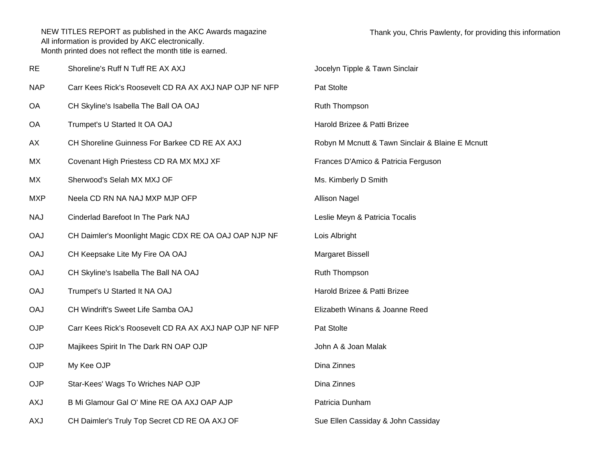| <b>RE</b>  | Shoreline's Ruff N Tuff RE AX AXJ                      | Jocelyn Tipple & Tawn Sinclair                   |
|------------|--------------------------------------------------------|--------------------------------------------------|
| <b>NAP</b> | Carr Kees Rick's Roosevelt CD RA AX AXJ NAP OJP NF NFP | Pat Stolte                                       |
| OA         | CH Skyline's Isabella The Ball OA OAJ                  | Ruth Thompson                                    |
| OA         | Trumpet's U Started It OA OAJ                          | Harold Brizee & Patti Brizee                     |
| АX         | CH Shoreline Guinness For Barkee CD RE AX AXJ          | Robyn M Mcnutt & Tawn Sinclair & Blaine E Mcnutt |
| MX         | Covenant High Priestess CD RA MX MXJ XF                | Frances D'Amico & Patricia Ferguson              |
| MX         | Sherwood's Selah MX MXJ OF                             | Ms. Kimberly D Smith                             |
| <b>MXP</b> | Neela CD RN NA NAJ MXP MJP OFP                         | <b>Allison Nagel</b>                             |
| <b>NAJ</b> | Cinderlad Barefoot In The Park NAJ                     | Leslie Meyn & Patricia Tocalis                   |
| <b>OAJ</b> | CH Daimler's Moonlight Magic CDX RE OA OAJ OAP NJP NF  | Lois Albright                                    |
| <b>OAJ</b> | CH Keepsake Lite My Fire OA OAJ                        | Margaret Bissell                                 |
| <b>OAJ</b> | CH Skyline's Isabella The Ball NA OAJ                  | Ruth Thompson                                    |
| <b>OAJ</b> | Trumpet's U Started It NA OAJ                          | Harold Brizee & Patti Brizee                     |
| <b>OAJ</b> | CH Windrift's Sweet Life Samba OAJ                     | Elizabeth Winans & Joanne Reed                   |
| <b>OJP</b> | Carr Kees Rick's Roosevelt CD RA AX AXJ NAP OJP NF NFP | Pat Stolte                                       |
| <b>OJP</b> | Majikees Spirit In The Dark RN OAP OJP                 | John A & Joan Malak                              |
| OJP        | My Kee OJP                                             | Dina Zinnes                                      |
| <b>OJP</b> | Star-Kees' Wags To Wriches NAP OJP                     | Dina Zinnes                                      |
| <b>AXJ</b> | B Mi Glamour Gal O' Mine RE OA AXJ OAP AJP             | Patricia Dunham                                  |
| AXJ        | CH Daimler's Truly Top Secret CD RE OA AXJ OF          | Sue Ellen Cassiday & John Cassiday               |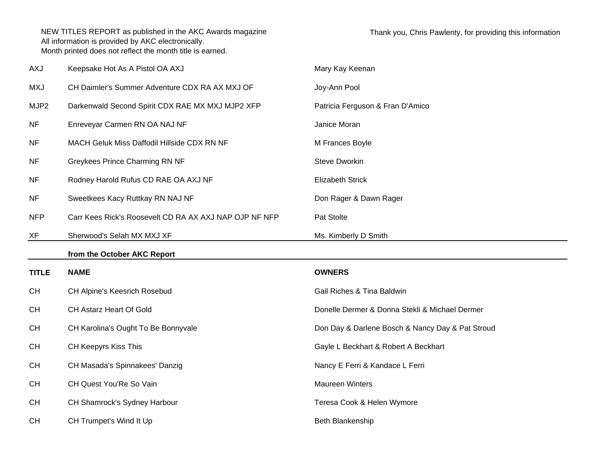| <b>AXJ</b>       | Keepsake Hot As A Pistol OA AXJ                        | Mary Kay Keenan                                  |
|------------------|--------------------------------------------------------|--------------------------------------------------|
| <b>MXJ</b>       | CH Daimler's Summer Adventure CDX RA AX MXJ OF         | Joy-Ann Pool                                     |
| MJP <sub>2</sub> | Darkenwald Second Spirit CDX RAE MX MXJ MJP2 XFP       | Patricia Ferguson & Fran D'Amico                 |
| <b>NF</b>        | Enreveyar Carmen RN OA NAJ NF                          | Janice Moran                                     |
| <b>NF</b>        | MACH Geluk Miss Daffodil Hillside CDX RN NF            | M Frances Boyle                                  |
| <b>NF</b>        | Greykees Prince Charming RN NF                         | <b>Steve Dworkin</b>                             |
| <b>NF</b>        | Rodney Harold Rufus CD RAE OA AXJ NF                   | <b>Elizabeth Strick</b>                          |
| <b>NF</b>        | Sweetkees Kacy Ruttkay RN NAJ NF                       | Don Rager & Dawn Rager                           |
| <b>NFP</b>       | Carr Kees Rick's Roosevelt CD RA AX AXJ NAP OJP NF NFP | Pat Stolte                                       |
| XF               | Sherwood's Selah MX MXJ XF                             | Ms. Kimberly D Smith                             |
|                  |                                                        |                                                  |
|                  | from the October AKC Report                            |                                                  |
| <b>TITLE</b>     | <b>NAME</b>                                            | <b>OWNERS</b>                                    |
| <b>CH</b>        | CH Alpine's Keesrich Rosebud                           | Gail Riches & Tina Baldwin                       |
| <b>CH</b>        | CH Astarz Heart Of Gold                                | Donelle Dermer & Donna Stekli & Michael Dermer   |
| <b>CH</b>        | CH Karolina's Ought To Be Bonnyvale                    | Don Day & Darlene Bosch & Nancy Day & Pat Stroud |
| <b>CH</b>        | CH Keepyrs Kiss This                                   | Gayle L Beckhart & Robert A Beckhart             |
| <b>CH</b>        | CH Masada's Spinnakees' Danzig                         | Nancy E Ferri & Kandace L Ferri                  |
| <b>CH</b>        | CH Quest You'Re So Vain                                | <b>Maureen Winters</b>                           |
| <b>CH</b>        | CH Shamrock's Sydney Harbour                           | Teresa Cook & Helen Wymore                       |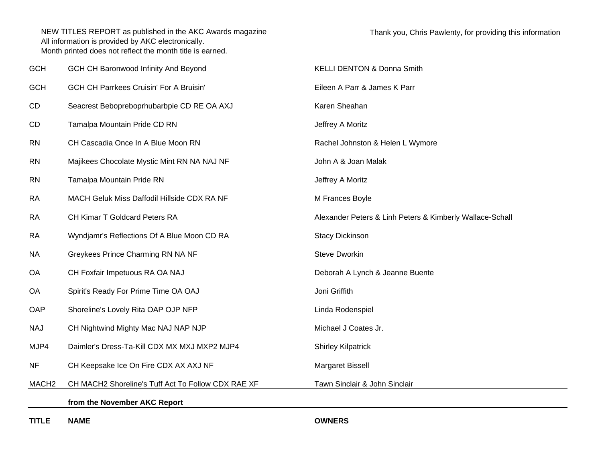| <b>GCH</b>        | GCH CH Baronwood Infinity And Beyond               | <b>KELLI DENTON &amp; Donna Smith</b>                    |
|-------------------|----------------------------------------------------|----------------------------------------------------------|
| <b>GCH</b>        | <b>GCH CH Parrkees Cruisin' For A Bruisin'</b>     | Eileen A Parr & James K Parr                             |
| CD                | Seacrest Bebopreboprhubarbpie CD RE OA AXJ         | Karen Sheahan                                            |
| CD                | Tamalpa Mountain Pride CD RN                       | Jeffrey A Moritz                                         |
| <b>RN</b>         | CH Cascadia Once In A Blue Moon RN                 | Rachel Johnston & Helen L Wymore                         |
| <b>RN</b>         | Majikees Chocolate Mystic Mint RN NA NAJ NF        | John A & Joan Malak                                      |
| <b>RN</b>         | Tamalpa Mountain Pride RN                          | Jeffrey A Moritz                                         |
| <b>RA</b>         | MACH Geluk Miss Daffodil Hillside CDX RA NF        | M Frances Boyle                                          |
| <b>RA</b>         | CH Kimar T Goldcard Peters RA                      | Alexander Peters & Linh Peters & Kimberly Wallace-Schall |
| <b>RA</b>         | Wyndjamr's Reflections Of A Blue Moon CD RA        | <b>Stacy Dickinson</b>                                   |
| <b>NA</b>         | Greykees Prince Charming RN NA NF                  | Steve Dworkin                                            |
| <b>OA</b>         | CH Foxfair Impetuous RA OA NAJ                     | Deborah A Lynch & Jeanne Buente                          |
| <b>OA</b>         | Spirit's Ready For Prime Time OA OAJ               | Joni Griffith                                            |
| OAP               | Shoreline's Lovely Rita OAP OJP NFP                | Linda Rodenspiel                                         |
| <b>NAJ</b>        | CH Nightwind Mighty Mac NAJ NAP NJP                | Michael J Coates Jr.                                     |
| MJP4              | Daimler's Dress-Ta-Kill CDX MX MXJ MXP2 MJP4       | <b>Shirley Kilpatrick</b>                                |
| <b>NF</b>         | CH Keepsake Ice On Fire CDX AX AXJ NF              | Margaret Bissell                                         |
| MACH <sub>2</sub> | CH MACH2 Shoreline's Tuff Act To Follow CDX RAE XF | Tawn Sinclair & John Sinclair                            |
|                   | from the November AKC Report                       |                                                          |

**TITLE**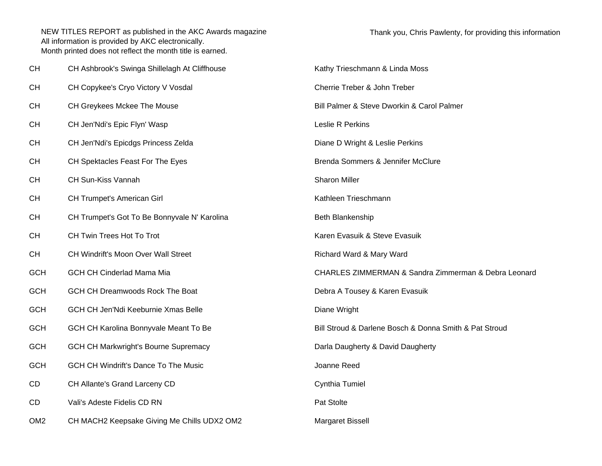| СH              | CH Ashbrook's Swinga Shillelagh At Cliffhouse | Kathy Trieschmann & Linda Moss                         |
|-----------------|-----------------------------------------------|--------------------------------------------------------|
| СH              | CH Copykee's Cryo Victory V Vosdal            | Cherrie Treber & John Treber                           |
| СH              | CH Greykees Mckee The Mouse                   | Bill Palmer & Steve Dworkin & Carol Palmer             |
| СH              | CH Jen'Ndi's Epic Flyn' Wasp                  | Leslie R Perkins                                       |
| СH              | CH Jen'Ndi's Epicdgs Princess Zelda           | Diane D Wright & Leslie Perkins                        |
| CН              | CH Spektacles Feast For The Eyes              | Brenda Sommers & Jennifer McClure                      |
| СH              | CH Sun-Kiss Vannah                            | <b>Sharon Miller</b>                                   |
| CН              | <b>CH Trumpet's American Girl</b>             | Kathleen Trieschmann                                   |
| СH              | CH Trumpet's Got To Be Bonnyvale N' Karolina  | Beth Blankenship                                       |
| СH              | CH Twin Trees Hot To Trot                     | Karen Evasuik & Steve Evasuik                          |
| СH              | CH Windrift's Moon Over Wall Street           | Richard Ward & Mary Ward                               |
| <b>GCH</b>      | <b>GCH CH Cinderlad Mama Mia</b>              | CHARLES ZIMMERMAN & Sandra Zimmerman & Debra Leonard   |
| <b>GCH</b>      | GCH CH Dreamwoods Rock The Boat               | Debra A Tousey & Karen Evasuik                         |
| <b>GCH</b>      | GCH CH Jen'Ndi Keeburnie Xmas Belle           | Diane Wright                                           |
| <b>GCH</b>      | GCH CH Karolina Bonnyvale Meant To Be         | Bill Stroud & Darlene Bosch & Donna Smith & Pat Stroud |
| <b>GCH</b>      | <b>GCH CH Markwright's Bourne Supremacy</b>   | Darla Daugherty & David Daugherty                      |
| <b>GCH</b>      | <b>GCH CH Windrift's Dance To The Music</b>   | Joanne Reed                                            |
| CD              | CH Allante's Grand Larceny CD                 | Cynthia Tumiel                                         |
| CD              | Vali's Adeste Fidelis CD RN                   | Pat Stolte                                             |
| OM <sub>2</sub> | CH MACH2 Keepsake Giving Me Chills UDX2 OM2   | <b>Margaret Bissell</b>                                |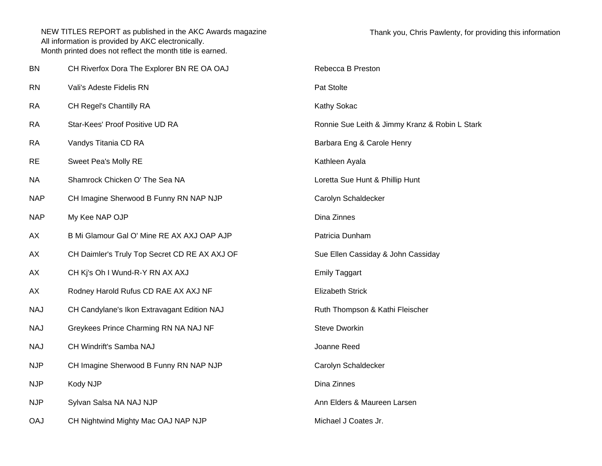| BN         | CH Riverfox Dora The Explorer BN RE OA OAJ    | Rebecca B Preston                              |
|------------|-----------------------------------------------|------------------------------------------------|
| <b>RN</b>  | Vali's Adeste Fidelis RN                      | Pat Stolte                                     |
| <b>RA</b>  | CH Regel's Chantilly RA                       | Kathy Sokac                                    |
| <b>RA</b>  | Star-Kees' Proof Positive UD RA               | Ronnie Sue Leith & Jimmy Kranz & Robin L Stark |
| <b>RA</b>  | Vandys Titania CD RA                          | Barbara Eng & Carole Henry                     |
| <b>RE</b>  | Sweet Pea's Molly RE                          | Kathleen Ayala                                 |
| <b>NA</b>  | Shamrock Chicken O' The Sea NA                | Loretta Sue Hunt & Phillip Hunt                |
| <b>NAP</b> | CH Imagine Sherwood B Funny RN NAP NJP        | Carolyn Schaldecker                            |
| <b>NAP</b> | My Kee NAP OJP                                | Dina Zinnes                                    |
| AX         | B Mi Glamour Gal O' Mine RE AX AXJ OAP AJP    | Patricia Dunham                                |
| AX         | CH Daimler's Truly Top Secret CD RE AX AXJ OF | Sue Ellen Cassiday & John Cassiday             |
| AX         | CH Kj's Oh I Wund-R-Y RN AX AXJ               | <b>Emily Taggart</b>                           |
| AX         | Rodney Harold Rufus CD RAE AX AXJ NF          | <b>Elizabeth Strick</b>                        |
| <b>NAJ</b> | CH Candylane's Ikon Extravagant Edition NAJ   | Ruth Thompson & Kathi Fleischer                |
| <b>NAJ</b> | Greykees Prince Charming RN NA NAJ NF         | <b>Steve Dworkin</b>                           |
| <b>NAJ</b> | CH Windrift's Samba NAJ                       | Joanne Reed                                    |
| <b>NJP</b> | CH Imagine Sherwood B Funny RN NAP NJP        | Carolyn Schaldecker                            |
| <b>NJP</b> | Kody NJP                                      | Dina Zinnes                                    |
| <b>NJP</b> | Sylvan Salsa NA NAJ NJP                       | Ann Elders & Maureen Larsen                    |
| <b>OAJ</b> | CH Nightwind Mighty Mac OAJ NAP NJP           | Michael J Coates Jr.                           |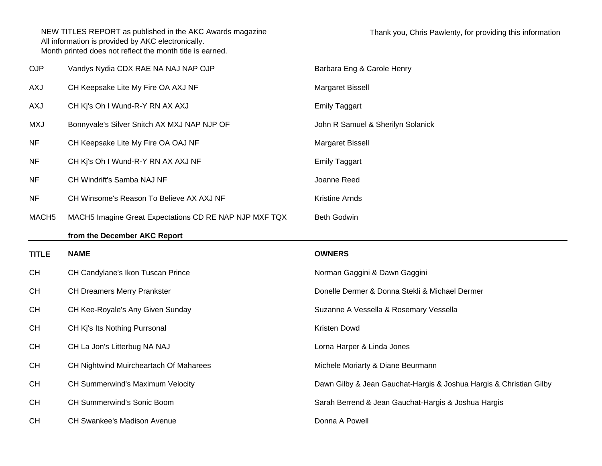| OJP               | Vandys Nydia CDX RAE NA NAJ NAP OJP                    | Barbara Eng & Carole Henry                                         |
|-------------------|--------------------------------------------------------|--------------------------------------------------------------------|
| AXJ               | CH Keepsake Lite My Fire OA AXJ NF                     | Margaret Bissell                                                   |
| AXJ               | CH Kj's Oh I Wund-R-Y RN AX AXJ                        | <b>Emily Taggart</b>                                               |
| <b>MXJ</b>        | Bonnyvale's Silver Snitch AX MXJ NAP NJP OF            | John R Samuel & Sherilyn Solanick                                  |
| <b>NF</b>         | CH Keepsake Lite My Fire OA OAJ NF                     | Margaret Bissell                                                   |
| <b>NF</b>         | CH Kj's Oh I Wund-R-Y RN AX AXJ NF                     | <b>Emily Taggart</b>                                               |
| <b>NF</b>         | CH Windrift's Samba NAJ NF                             | Joanne Reed                                                        |
| <b>NF</b>         | CH Winsome's Reason To Believe AX AXJ NF               | Kristine Arnds                                                     |
| MACH <sub>5</sub> | MACH5 Imagine Great Expectations CD RE NAP NJP MXF TQX | Beth Godwin                                                        |
|                   | from the December AKC Report                           |                                                                    |
|                   |                                                        |                                                                    |
| <b>TITLE</b>      | <b>NAME</b>                                            | <b>OWNERS</b>                                                      |
| <b>CH</b>         | CH Candylane's Ikon Tuscan Prince                      | Norman Gaggini & Dawn Gaggini                                      |
| <b>CH</b>         | <b>CH Dreamers Merry Prankster</b>                     | Donelle Dermer & Donna Stekli & Michael Dermer                     |
| <b>CH</b>         | CH Kee-Royale's Any Given Sunday                       | Suzanne A Vessella & Rosemary Vessella                             |
| <b>CH</b>         | CH Kj's Its Nothing Purrsonal                          | Kristen Dowd                                                       |
| <b>CH</b>         | CH La Jon's Litterbug NA NAJ                           | Lorna Harper & Linda Jones                                         |
| <b>CH</b>         | CH Nightwind Muircheartach Of Maharees                 | Michele Moriarty & Diane Beurmann                                  |
| <b>CH</b>         | CH Summerwind's Maximum Velocity                       | Dawn Gilby & Jean Gauchat-Hargis & Joshua Hargis & Christian Gilby |
| <b>CH</b>         | CH Summerwind's Sonic Boom                             | Sarah Berrend & Jean Gauchat-Hargis & Joshua Hargis                |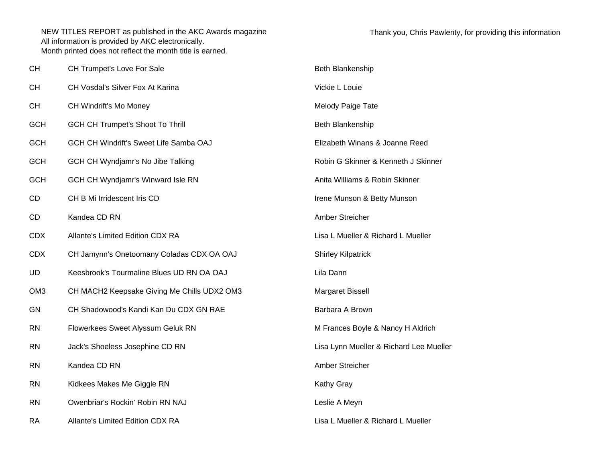| <b>CH</b>       | CH Trumpet's Love For Sale                  | Beth Blankenship                        |
|-----------------|---------------------------------------------|-----------------------------------------|
| <b>CH</b>       | CH Vosdal's Silver Fox At Karina            | Vickie L Louie                          |
| <b>CH</b>       | CH Windrift's Mo Money                      | Melody Paige Tate                       |
| <b>GCH</b>      | <b>GCH CH Trumpet's Shoot To Thrill</b>     | Beth Blankenship                        |
| <b>GCH</b>      | GCH CH Windrift's Sweet Life Samba OAJ      | Elizabeth Winans & Joanne Reed          |
| <b>GCH</b>      | GCH CH Wyndjamr's No Jibe Talking           | Robin G Skinner & Kenneth J Skinner     |
| <b>GCH</b>      | GCH CH Wyndjamr's Winward Isle RN           | Anita Williams & Robin Skinner          |
| CD              | CH B Mi Irridescent Iris CD                 | Irene Munson & Betty Munson             |
| CD              | Kandea CD RN                                | Amber Streicher                         |
| <b>CDX</b>      | Allante's Limited Edition CDX RA            | Lisa L Mueller & Richard L Mueller      |
| <b>CDX</b>      | CH Jamynn's Onetoomany Coladas CDX OA OAJ   | <b>Shirley Kilpatrick</b>               |
| <b>UD</b>       | Keesbrook's Tourmaline Blues UD RN OA OAJ   | Lila Dann                               |
| OM <sub>3</sub> | CH MACH2 Keepsake Giving Me Chills UDX2 OM3 | Margaret Bissell                        |
| <b>GN</b>       | CH Shadowood's Kandi Kan Du CDX GN RAE      | Barbara A Brown                         |
| <b>RN</b>       | Flowerkees Sweet Alyssum Geluk RN           | M Frances Boyle & Nancy H Aldrich       |
| <b>RN</b>       | Jack's Shoeless Josephine CD RN             | Lisa Lynn Mueller & Richard Lee Mueller |
| <b>RN</b>       | Kandea CD RN                                | Amber Streicher                         |
| <b>RN</b>       | Kidkees Makes Me Giggle RN                  | Kathy Gray                              |
| <b>RN</b>       | Owenbriar's Rockin' Robin RN NAJ            | Leslie A Meyn                           |
| <b>RA</b>       | Allante's Limited Edition CDX RA            | Lisa L Mueller & Richard L Mueller      |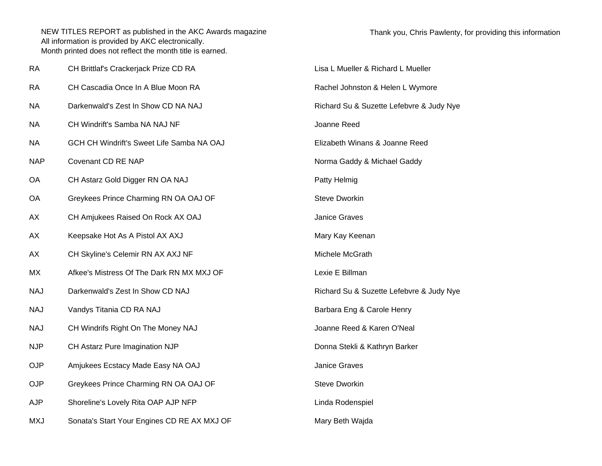| Thank you, Chris Pawlenty, for providing this information |  |
|-----------------------------------------------------------|--|
|                                                           |  |

| <b>RA</b>  | CH Brittlaf's Crackerjack Prize CD RA       | Lisa L Mueller & Richard L Mueller       |
|------------|---------------------------------------------|------------------------------------------|
| <b>RA</b>  | CH Cascadia Once In A Blue Moon RA          | Rachel Johnston & Helen L Wymore         |
| <b>NA</b>  | Darkenwald's Zest In Show CD NA NAJ         | Richard Su & Suzette Lefebvre & Judy Nye |
| <b>NA</b>  | CH Windrift's Samba NA NAJ NF               | Joanne Reed                              |
| <b>NA</b>  | GCH CH Windrift's Sweet Life Samba NA OAJ   | Elizabeth Winans & Joanne Reed           |
| <b>NAP</b> | Covenant CD RE NAP                          | Norma Gaddy & Michael Gaddy              |
| OA         | CH Astarz Gold Digger RN OA NAJ             | Patty Helmig                             |
| OA         | Greykees Prince Charming RN OA OAJ OF       | <b>Steve Dworkin</b>                     |
| AX         | CH Amjukees Raised On Rock AX OAJ           | <b>Janice Graves</b>                     |
| AX         | Keepsake Hot As A Pistol AX AXJ             | Mary Kay Keenan                          |
| AX         | CH Skyline's Celemir RN AX AXJ NF           | Michele McGrath                          |
| MX         | Afkee's Mistress Of The Dark RN MX MXJ OF   | Lexie E Billman                          |
| <b>NAJ</b> | Darkenwald's Zest In Show CD NAJ            | Richard Su & Suzette Lefebvre & Judy Nye |
| <b>NAJ</b> | Vandys Titania CD RA NAJ                    | Barbara Eng & Carole Henry               |
| <b>NAJ</b> | CH Windrifs Right On The Money NAJ          | Joanne Reed & Karen O'Neal               |
| <b>NJP</b> | CH Astarz Pure Imagination NJP              | Donna Stekli & Kathryn Barker            |
| <b>OJP</b> | Amjukees Ecstacy Made Easy NA OAJ           | <b>Janice Graves</b>                     |
| <b>OJP</b> | Greykees Prince Charming RN OA OAJ OF       | Steve Dworkin                            |
| <b>AJP</b> | Shoreline's Lovely Rita OAP AJP NFP         | Linda Rodenspiel                         |
| <b>MXJ</b> | Sonata's Start Your Engines CD RE AX MXJ OF | Mary Beth Wajda                          |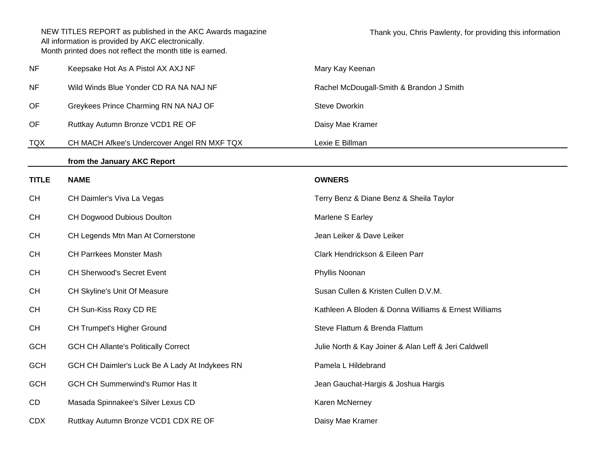| <b>NF</b>    | Keepsake Hot As A Pistol AX AXJ NF             | Mary Kay Keenan                                      |  |
|--------------|------------------------------------------------|------------------------------------------------------|--|
| <b>NF</b>    | Wild Winds Blue Yonder CD RA NA NAJ NF         | Rachel McDougall-Smith & Brandon J Smith             |  |
| OF           | Greykees Prince Charming RN NA NAJ OF          | Steve Dworkin                                        |  |
| OF           | Ruttkay Autumn Bronze VCD1 RE OF               | Daisy Mae Kramer                                     |  |
| <b>TQX</b>   | CH MACH Afkee's Undercover Angel RN MXF TQX    | Lexie E Billman                                      |  |
|              | from the January AKC Report                    |                                                      |  |
| <b>TITLE</b> | <b>NAME</b>                                    | <b>OWNERS</b>                                        |  |
| <b>CH</b>    | CH Daimler's Viva La Vegas                     | Terry Benz & Diane Benz & Sheila Taylor              |  |
| <b>CH</b>    | CH Dogwood Dubious Doulton                     | Marlene S Earley                                     |  |
| <b>CH</b>    | CH Legends Mtn Man At Cornerstone              | Jean Leiker & Dave Leiker                            |  |
| <b>CH</b>    | <b>CH Parrkees Monster Mash</b>                | Clark Hendrickson & Eileen Parr                      |  |
| <b>CH</b>    | CH Sherwood's Secret Event                     | Phyllis Noonan                                       |  |
| <b>CH</b>    | CH Skyline's Unit Of Measure                   | Susan Cullen & Kristen Cullen D.V.M.                 |  |
| <b>CH</b>    | CH Sun-Kiss Roxy CD RE                         | Kathleen A Bloden & Donna Williams & Ernest Williams |  |
| <b>CH</b>    | CH Trumpet's Higher Ground                     | Steve Flattum & Brenda Flattum                       |  |
| <b>GCH</b>   | <b>GCH CH Allante's Politically Correct</b>    | Julie North & Kay Joiner & Alan Leff & Jeri Caldwell |  |
| <b>GCH</b>   | GCH CH Daimler's Luck Be A Lady At Indykees RN | Pamela L Hildebrand                                  |  |
| <b>GCH</b>   | <b>GCH CH Summerwind's Rumor Has It</b>        | Jean Gauchat-Hargis & Joshua Hargis                  |  |
| CD           | Masada Spinnakee's Silver Lexus CD             | Karen McNerney                                       |  |
| <b>CDX</b>   | Ruttkay Autumn Bronze VCD1 CDX RE OF           | Daisy Mae Kramer                                     |  |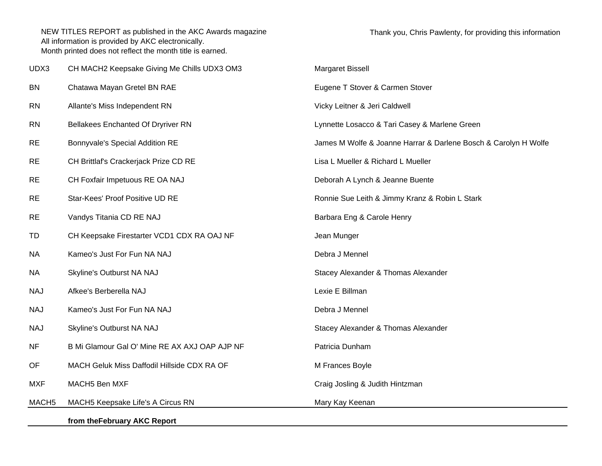|                   | from the February AKC Report                  |                                                                 |  |
|-------------------|-----------------------------------------------|-----------------------------------------------------------------|--|
| MACH <sub>5</sub> | MACH5 Keepsake Life's A Circus RN             | Mary Kay Keenan                                                 |  |
| <b>MXF</b>        | MACH5 Ben MXF                                 | Craig Josling & Judith Hintzman                                 |  |
| OF                | MACH Geluk Miss Daffodil Hillside CDX RA OF   | M Frances Boyle                                                 |  |
| <b>NF</b>         | B Mi Glamour Gal O' Mine RE AX AXJ OAP AJP NF | Patricia Dunham                                                 |  |
| <b>NAJ</b>        | Skyline's Outburst NA NAJ                     | Stacey Alexander & Thomas Alexander                             |  |
| <b>NAJ</b>        | Kameo's Just For Fun NA NAJ                   | Debra J Mennel                                                  |  |
| <b>NAJ</b>        | Afkee's Berberella NAJ                        | Lexie E Billman                                                 |  |
| <b>NA</b>         | Skyline's Outburst NA NAJ                     | Stacey Alexander & Thomas Alexander                             |  |
| <b>NA</b>         | Kameo's Just For Fun NA NAJ                   | Debra J Mennel                                                  |  |
| TD                | CH Keepsake Firestarter VCD1 CDX RA OAJ NF    | Jean Munger                                                     |  |
| <b>RE</b>         | Vandys Titania CD RE NAJ                      | Barbara Eng & Carole Henry                                      |  |
| <b>RE</b>         | Star-Kees' Proof Positive UD RE               | Ronnie Sue Leith & Jimmy Kranz & Robin L Stark                  |  |
| <b>RE</b>         | CH Foxfair Impetuous RE OA NAJ                | Deborah A Lynch & Jeanne Buente                                 |  |
| <b>RE</b>         | CH Brittlaf's Crackerjack Prize CD RE         | Lisa L Mueller & Richard L Mueller                              |  |
| <b>RE</b>         | Bonnyvale's Special Addition RE               | James M Wolfe & Joanne Harrar & Darlene Bosch & Carolyn H Wolfe |  |
| <b>RN</b>         | <b>Bellakees Enchanted Of Dryriver RN</b>     | Lynnette Losacco & Tari Casey & Marlene Green                   |  |
| <b>RN</b>         | Allante's Miss Independent RN                 | Vicky Leitner & Jeri Caldwell                                   |  |
| <b>BN</b>         | Chatawa Mayan Gretel BN RAE                   | Eugene T Stover & Carmen Stover                                 |  |
| UDX3              | CH MACH2 Keepsake Giving Me Chills UDX3 OM3   | Margaret Bissell                                                |  |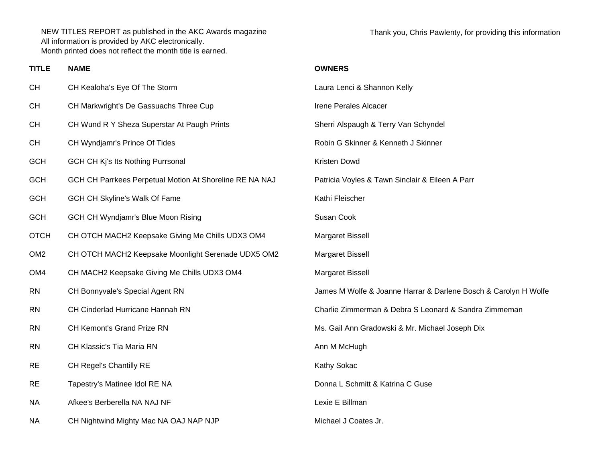**TITLE**

Thank you, Chris Pawlenty, for providing this information

| <b>NAME</b> | <b>OWNERS</b> |
|-------------|---------------|
|             |               |

| <b>CH</b>       | CH Kealoha's Eye Of The Storm                           | Laura Lenci & Shannon Kelly                                     |  |
|-----------------|---------------------------------------------------------|-----------------------------------------------------------------|--|
| CH              | CH Markwright's De Gassuachs Three Cup                  | Irene Perales Alcacer                                           |  |
| CH              | CH Wund R Y Sheza Superstar At Paugh Prints             | Sherri Alspaugh & Terry Van Schyndel                            |  |
| CH              | CH Wyndjamr's Prince Of Tides                           | Robin G Skinner & Kenneth J Skinner                             |  |
| <b>GCH</b>      | GCH CH Kj's Its Nothing Purrsonal                       | Kristen Dowd                                                    |  |
| <b>GCH</b>      | GCH CH Parrkees Perpetual Motion At Shoreline RE NA NAJ | Patricia Voyles & Tawn Sinclair & Eileen A Parr                 |  |
| <b>GCH</b>      | <b>GCH CH Skyline's Walk Of Fame</b>                    | Kathi Fleischer                                                 |  |
| <b>GCH</b>      | <b>GCH CH Wyndjamr's Blue Moon Rising</b>               | Susan Cook                                                      |  |
| <b>OTCH</b>     | CH OTCH MACH2 Keepsake Giving Me Chills UDX3 OM4        | Margaret Bissell                                                |  |
| OM <sub>2</sub> | CH OTCH MACH2 Keepsake Moonlight Serenade UDX5 OM2      | Margaret Bissell                                                |  |
| OM4             | CH MACH2 Keepsake Giving Me Chills UDX3 OM4             | Margaret Bissell                                                |  |
| <b>RN</b>       | CH Bonnyvale's Special Agent RN                         | James M Wolfe & Joanne Harrar & Darlene Bosch & Carolyn H Wolfe |  |
| <b>RN</b>       | CH Cinderlad Hurricane Hannah RN                        | Charlie Zimmerman & Debra S Leonard & Sandra Zimmeman           |  |
| <b>RN</b>       | CH Kemont's Grand Prize RN                              | Ms. Gail Ann Gradowski & Mr. Michael Joseph Dix                 |  |
| <b>RN</b>       | CH Klassic's Tia Maria RN                               | Ann M McHugh                                                    |  |
| <b>RE</b>       | CH Regel's Chantilly RE                                 | Kathy Sokac                                                     |  |
| <b>RE</b>       | Tapestry's Matinee Idol RE NA                           | Donna L Schmitt & Katrina C Guse                                |  |
| <b>NA</b>       | Afkee's Berberella NA NAJ NF                            | Lexie E Billman                                                 |  |
| NA.             | CH Nightwind Mighty Mac NA OAJ NAP NJP                  | Michael J Coates Jr.                                            |  |